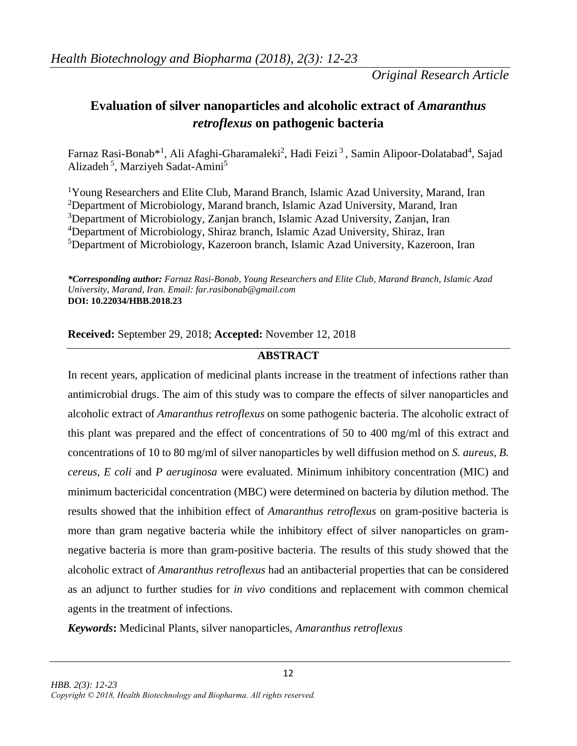*Original Research Article*

# **Evaluation of silver nanoparticles and alcoholic extract of** *Amaranthus retroflexus* **on pathogenic bacteria**

Farnaz Rasi-Bonab\*<sup>1</sup>, Ali Afaghi-Gharamaleki<sup>2</sup>, Hadi Feizi<sup>3</sup>, Samin Alipoor-Dolatabad<sup>4</sup>, Sajad Alizadeh<sup>5</sup>, Marziyeh Sadat-Amini<sup>5</sup>

Young Researchers and Elite Club, Marand Branch, Islamic Azad University, Marand, Iran Department of Microbiology, Marand branch, Islamic Azad University, Marand, Iran Department of Microbiology, Zanjan branch, Islamic Azad University, Zanjan, Iran Department of Microbiology, Shiraz branch, Islamic Azad University, Shiraz, Iran Department of Microbiology, Kazeroon branch, Islamic Azad University, Kazeroon, Iran

*\*Corresponding author: Farnaz Rasi-Bonab, Young Researchers and Elite Club, Marand Branch, Islamic Azad University, Marand, Iran. Email: far.rasibonab@gmail.com* **DOI: 10.22034/HBB.2018.23**

**Received:** September 29, 2018; **Accepted:** November 12, 2018

## **ABSTRACT**

In recent years, application of medicinal plants increase in the treatment of infections rather than antimicrobial drugs. The aim of this study was to compare the effects of silver nanoparticles and alcoholic extract of *Amaranthus retroflexus* on some pathogenic bacteria. The alcoholic extract of this plant was prepared and the effect of concentrations of 50 to 400 mg/ml of this extract and concentrations of 10 to 80 mg/ml of silver nanoparticles by well diffusion method on *S. aureus, B. cereus, E coli* and *P aeruginosa* were evaluated. Minimum inhibitory concentration (MIC) and minimum bactericidal concentration (MBC) were determined on bacteria by dilution method. The results showed that the inhibition effect of *Amaranthus retroflexus* on gram-positive bacteria is more than gram negative bacteria while the inhibitory effect of silver nanoparticles on gramnegative bacteria is more than gram-positive bacteria. The results of this study showed that the alcoholic extract of *Amaranthus retroflexus* had an antibacterial properties that can be considered as an adjunct to further studies for *in vivo* conditions and replacement with common chemical agents in the treatment of infections.

*Keywords***:** Medicinal Plants, silver nanoparticles, *Amaranthus retroflexus*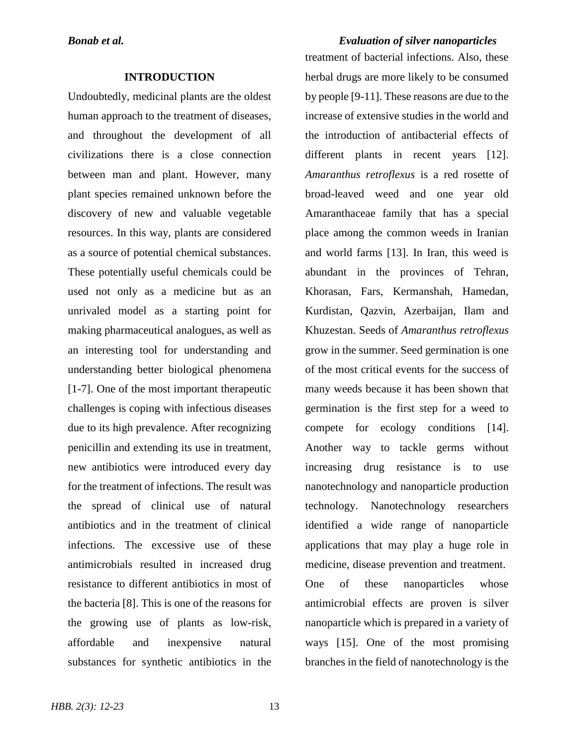### **INTRODUCTION**

Undoubtedly, medicinal plants are the oldest human approach to the treatment of diseases, and throughout the development of all civilizations there is a close connection between man and plant. However, many plant species remained unknown before the discovery of new and valuable vegetable resources. In this way, plants are considered as a source of potential chemical substances. These potentially useful chemicals could be used not only as a medicine but as an unrivaled model as a starting point for making pharmaceutical analogues, as well as an interesting tool for understanding and understanding better biological phenomena [1-7]. One of the most important therapeutic challenges is coping with infectious diseases due to its high prevalence. After recognizing penicillin and extending its use in treatment, new antibiotics were introduced every day for the treatment of infections. The result was the spread of clinical use of natural antibiotics and in the treatment of clinical infections. The excessive use of these antimicrobials resulted in increased drug resistance to different antibiotics in most of the bacteria [8]. This is one of the reasons for the growing use of plants as low-risk, affordable and inexpensive natural substances for synthetic antibiotics in the

*Bonab et al. Evaluation of silver nanoparticles* treatment of bacterial infections. Also, these herbal drugs are more likely to be consumed by people [9-11]. These reasons are due to the increase of extensive studies in the world and the introduction of antibacterial effects of different plants in recent years [12]. *Amaranthus retroflexus* is a red rosette of broad-leaved weed and one year old Amaranthaceae family that has a special place among the common weeds in Iranian and world farms [13]. In Iran, this weed is abundant in the provinces of Tehran, Khorasan, Fars, Kermanshah, Hamedan, Kurdistan, Qazvin, Azerbaijan, Ilam and Khuzestan. Seeds of *Amaranthus retroflexus* grow in the summer. Seed germination is one of the most critical events for the success of many weeds because it has been shown that germination is the first step for a weed to compete for ecology conditions [14]. Another way to tackle germs without increasing drug resistance is to use nanotechnology and nanoparticle production technology. Nanotechnology researchers identified a wide range of nanoparticle applications that may play a huge role in medicine, disease prevention and treatment. One of these nanoparticles whose antimicrobial effects are proven is silver nanoparticle which is prepared in a variety of ways [15]. One of the most promising branches in the field of nanotechnology is the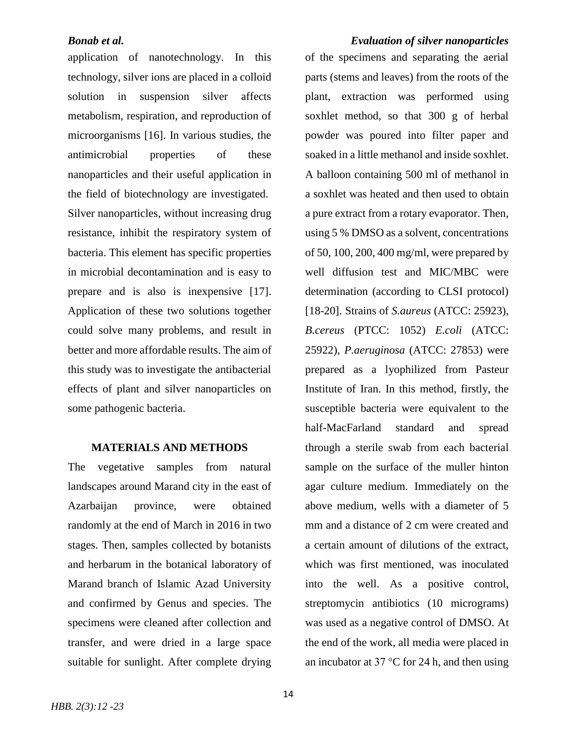## *Bonab et al. Evaluation of silver nanoparticles*

application of nanotechnology. In this technology, silver ions are placed in a colloid solution in suspension silver affects metabolism, respiration, and reproduction of microorganisms [16]. In various studies, the antimicrobial properties of these nanoparticles and their useful application in the field of biotechnology are investigated. Silver nanoparticles, without increasing drug resistance, inhibit the respiratory system of bacteria. This element has specific properties in microbial decontamination and is easy to prepare and is also is inexpensive [17]. Application of these two solutions together could solve many problems, and result in better and more affordable results. The aim of this study was to investigate the antibacterial effects of plant and silver nanoparticles on some pathogenic bacteria.

## **MATERIALS AND METHODS**

The vegetative samples from natural landscapes around Marand city in the east of Azarbaijan province, were obtained randomly at the end of March in 2016 in two stages. Then, samples collected by botanists and herbarum in the botanical laboratory of Marand branch of Islamic Azad University and confirmed by Genus and species. The specimens were cleaned after collection and transfer, and were dried in a large space suitable for sunlight. After complete drying

of the specimens and separating the aerial parts (stems and leaves) from the roots of the plant, extraction was performed using soxhlet method, so that 300 g of herbal powder was poured into filter paper and soaked in a little methanol and inside soxhlet. A balloon containing 500 ml of methanol in a soxhlet was heated and then used to obtain a pure extract from a rotary evaporator. Then, using 5 % DMSO as a solvent, concentrations of 50, 100, 200, 400 mg/ml, were prepared by well diffusion test and MIC/MBC were determination (according to CLSI protocol) [18-20]. Strains of *S.aureus* (ATCC: 25923), *B.cereus* (PTCC: 1052) *E.coli* (ATCC: 25922), *P.aeruginosa* (ATCC: 27853) were prepared as a lyophilized from Pasteur Institute of Iran. In this method, firstly, the susceptible bacteria were equivalent to the half-MacFarland standard and spread through a sterile swab from each bacterial sample on the surface of the muller hinton agar culture medium. Immediately on the above medium, wells with a diameter of 5 mm and a distance of 2 cm were created and a certain amount of dilutions of the extract, which was first mentioned, was inoculated into the well. As a positive control, streptomycin antibiotics (10 micrograms) was used as a negative control of DMSO. At the end of the work, all media were placed in an incubator at 37 °C for 24 h, and then using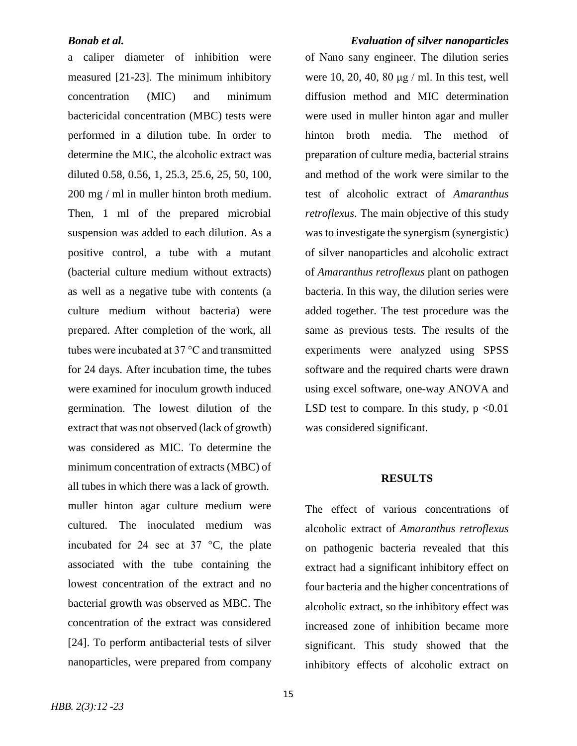a caliper diameter of inhibition were measured [21-23]. The minimum inhibitory concentration (MIC) and minimum bactericidal concentration (MBC) tests were performed in a dilution tube. In order to determine the MIC, the alcoholic extract was diluted 0.58, 0.56, 1, 25.3, 25.6, 25, 50, 100, 200 mg / ml in muller hinton broth medium. Then, 1 ml of the prepared microbial suspension was added to each dilution. As a positive control, a tube with a mutant (bacterial culture medium without extracts) as well as a negative tube with contents (a culture medium without bacteria) were prepared. After completion of the work, all tubes were incubated at 37 °C and transmitted for 24 days. After incubation time, the tubes were examined for inoculum growth induced germination. The lowest dilution of the extract that was not observed (lack of growth) was considered as MIC. To determine the minimum concentration of extracts (MBC) of all tubes in which there was a lack of growth. muller hinton agar culture medium were cultured. The inoculated medium was incubated for 24 sec at 37 °C, the plate associated with the tube containing the lowest concentration of the extract and no bacterial growth was observed as MBC. The concentration of the extract was considered [24]. To perform antibacterial tests of silver nanoparticles, were prepared from company

*Bonab et al. Evaluation of silver nanoparticles*  of Nano sany engineer. The dilution series were 10, 20, 40, 80 μg / ml. In this test, well diffusion method and MIC determination were used in muller hinton agar and muller hinton broth media. The method of preparation of culture media, bacterial strains and method of the work were similar to the test of alcoholic extract of *Amaranthus retroflexus*. The main objective of this study was to investigate the synergism (synergistic) of silver nanoparticles and alcoholic extract of *Amaranthus retroflexus* plant on pathogen bacteria. In this way, the dilution series were added together. The test procedure was the same as previous tests. The results of the experiments were analyzed using SPSS software and the required charts were drawn using excel software, one-way ANOVA and LSD test to compare. In this study,  $p \le 0.01$ was considered significant.

### **RESULTS**

The effect of various concentrations of alcoholic extract of *Amaranthus retroflexus* on pathogenic bacteria revealed that this extract had a significant inhibitory effect on four bacteria and the higher concentrations of alcoholic extract, so the inhibitory effect was increased zone of inhibition became more significant. This study showed that the inhibitory effects of alcoholic extract on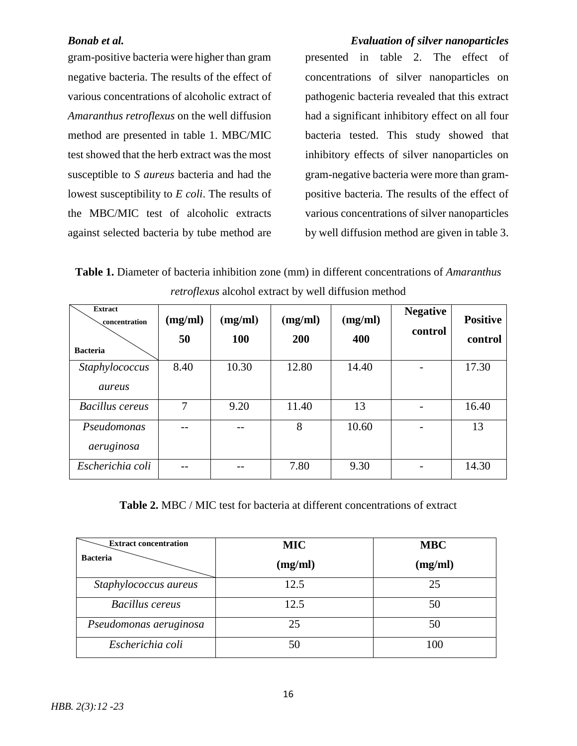gram-positive bacteria were higher than gram negative bacteria. The results of the effect of various concentrations of alcoholic extract of *Amaranthus retroflexus* on the well diffusion method are presented in table 1. MBC/MIC test showed that the herb extract was the most susceptible to *S aureus* bacteria and had the lowest susceptibility to *E coli*. The results of the MBC/MIC test of alcoholic extracts against selected bacteria by tube method are

*Bonab et al. Evaluation of silver nanoparticles*  presented in table 2. The effect of concentrations of silver nanoparticles on pathogenic bacteria revealed that this extract had a significant inhibitory effect on all four bacteria tested. This study showed that inhibitory effects of silver nanoparticles on gram-negative bacteria were more than grampositive bacteria. The results of the effect of various concentrations of silver nanoparticles by well diffusion method are given in table 3.

**Table 1.** Diameter of bacteria inhibition zone (mm) in different concentrations of *Amaranthus retroflexus* alcohol extract by well diffusion method

| <b>Extract</b><br>concentration<br><b>Bacteria</b> | (mg/ml)<br>50 | (mg/ml)<br>100 | (mg/ml)<br><b>200</b> | (mg/ml)<br>400 | <b>Negative</b><br>control | <b>Positive</b><br>control |
|----------------------------------------------------|---------------|----------------|-----------------------|----------------|----------------------------|----------------------------|
| Staphylococcus<br>aureus                           | 8.40          | 10.30          | 12.80                 | 14.40          |                            | 17.30                      |
| <b>Bacillus</b> cereus                             | 7             | 9.20           | 11.40                 | 13             |                            | 16.40                      |
| Pseudomonas<br>aeruginosa                          |               |                | 8                     | 10.60          |                            | 13                         |
| Escherichia coli                                   |               |                | 7.80                  | 9.30           |                            | 14.30                      |

**Table 2.** MBC / MIC test for bacteria at different concentrations of extract

| <b>Extract concentration</b> | <b>MIC</b> | <b>MBC</b> |  |
|------------------------------|------------|------------|--|
| <b>Bacteria</b>              | (mg/ml)    | (mg/ml)    |  |
| Staphylococcus aureus        | 12.5       | 25         |  |
| Bacillus cereus              | 12.5       | 50         |  |
| Pseudomonas aeruginosa       | 25         | 50         |  |
| Escherichia coli             | 50         | 100        |  |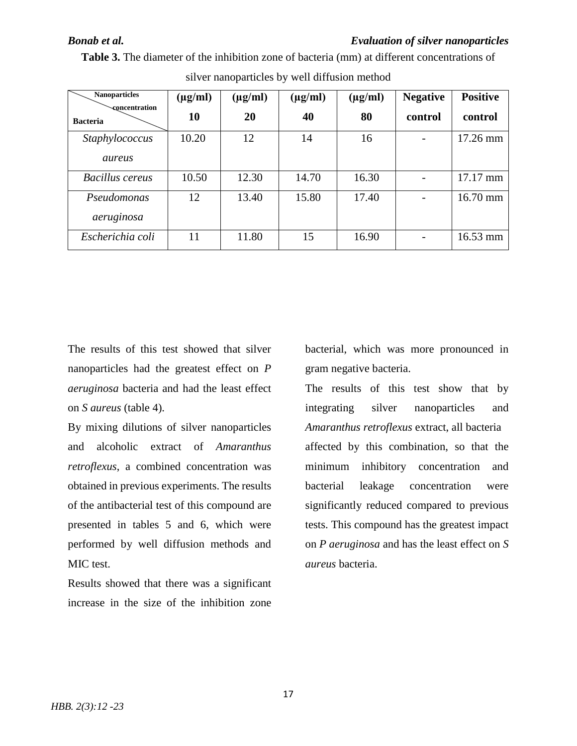*Bonab et al. Evaluation of silver nanoparticles* 

| <b>Nanoparticles</b><br><b>concentration</b><br><b>Bacteria</b> | $(\mu g/ml)$<br>10 | $(\mu g/ml)$<br>20 | $(\mu g/ml)$<br>40 | $(\mu g/ml)$<br>80 | <b>Negative</b><br>control | <b>Positive</b><br>control |
|-----------------------------------------------------------------|--------------------|--------------------|--------------------|--------------------|----------------------------|----------------------------|
| Staphylococcus<br>aureus                                        | 10.20              | 12                 | 14                 | 16                 |                            | 17.26 mm                   |
| <b>Bacillus cereus</b>                                          | 10.50              | 12.30              | 14.70              | 16.30              |                            | 17.17 mm                   |
| Pseudomonas<br>aeruginosa                                       | 12                 | 13.40              | 15.80              | 17.40              |                            | $16.70$ mm                 |
| Escherichia coli                                                | 11                 | 11.80              | 15                 | 16.90              |                            | $16.53 \text{ mm}$         |

**Table 3.** The diameter of the inhibition zone of bacteria (mm) at different concentrations of silver nanoparticles by well diffusion method

The results of this test showed that silver nanoparticles had the greatest effect on *P aeruginosa* bacteria and had the least effect on *S aureus* (table 4).

By mixing dilutions of silver nanoparticles and alcoholic extract of *Amaranthus retroflexus*, a combined concentration was obtained in previous experiments. The results of the antibacterial test of this compound are presented in tables 5 and 6, which were performed by well diffusion methods and MIC test.

Results showed that there was a significant increase in the size of the inhibition zone

bacterial, which was more pronounced in gram negative bacteria.

The results of this test show that by integrating silver nanoparticles and *Amaranthus retroflexus* extract, all bacteria affected by this combination, so that the minimum inhibitory concentration and bacterial leakage concentration were significantly reduced compared to previous tests. This compound has the greatest impact on *P aeruginosa* and has the least effect on *S aureus* bacteria.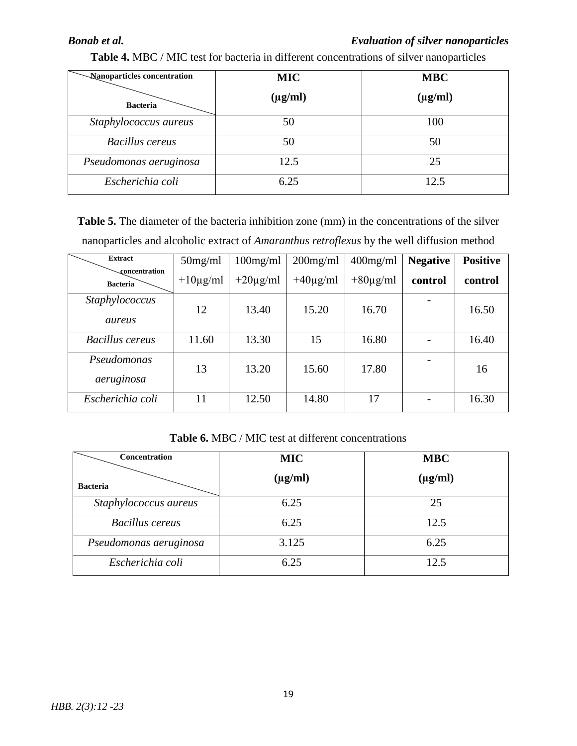## *Bonab et al. Evaluation of silver nanoparticles*

| Nanoparticles concentration | <b>MIC</b>   | <b>MBC</b>   |
|-----------------------------|--------------|--------------|
| <b>Bacteria</b>             | $(\mu g/ml)$ | $(\mu g/ml)$ |
| Staphylococcus aureus       | 50           | 100          |
| <b>Bacillus cereus</b>      | 50           | 50           |
| Pseudomonas aeruginosa      | 12.5         | 25           |
| Escherichia coli            | 6.25         | 12.5         |

**Table 4.** MBC / MIC test for bacteria in different concentrations of silver nanoparticles

Table 5. The diameter of the bacteria inhibition zone (mm) in the concentrations of the silver nanoparticles and alcoholic extract of *Amaranthus retroflexus* by the well diffusion method

| <b>Extract</b>                   | 50mg/ml       | $100$ mg/ml   | $200$ mg/ml   | $400$ mg/ml   | <b>Negative</b> | <b>Positive</b> |
|----------------------------------|---------------|---------------|---------------|---------------|-----------------|-----------------|
| concentration<br><b>Bacteria</b> | $+10\mu$ g/ml | $+20\mu$ g/ml | $+40\mu$ g/ml | $+80\mu g/ml$ | control         | control         |
| Staphylococcus<br>aureus         | 12            | 13.40         | 15.20         | 16.70         |                 | 16.50           |
| <b>Bacillus cereus</b>           | 11.60         | 13.30         | 15            | 16.80         |                 | 16.40           |
| Pseudomonas<br>aeruginosa        | 13            | 13.20         | 15.60         | 17.80         |                 | 16              |
| Escherichia coli                 | 11            | 12.50         | 14.80         | 17            |                 | 16.30           |

## **Table 6.** MBC / MIC test at different concentrations

| Concentration          | <b>MIC</b>   | <b>MBC</b>   |
|------------------------|--------------|--------------|
| <b>Bacteria</b>        | $(\mu g/ml)$ | $(\mu g/ml)$ |
| Staphylococcus aureus  | 6.25         | 25           |
| <b>Bacillus</b> cereus | 6.25         | 12.5         |
| Pseudomonas aeruginosa | 3.125        | 6.25         |
| Escherichia coli       | 6.25         | 12.5         |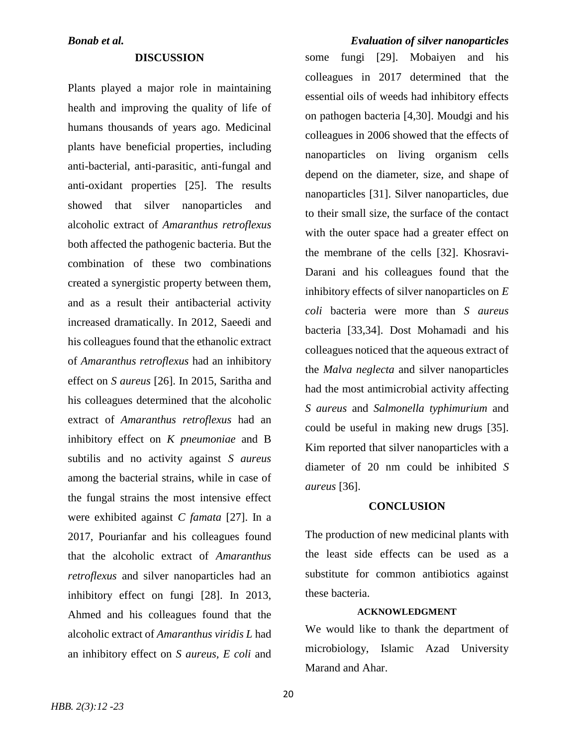### **DISCUSSION**

Plants played a major role in maintaining health and improving the quality of life of humans thousands of years ago. Medicinal plants have beneficial properties, including anti-bacterial, anti-parasitic, anti-fungal and anti-oxidant properties [25]. The results showed that silver nanoparticles and alcoholic extract of *Amaranthus retroflexus* both affected the pathogenic bacteria. But the combination of these two combinations created a synergistic property between them, and as a result their antibacterial activity increased dramatically. In 2012, Saeedi and his colleagues found that the ethanolic extract of *Amaranthus retroflexus* had an inhibitory effect on *S aureus* [26]. In 2015, Saritha and his colleagues determined that the alcoholic extract of *Amaranthus retroflexus* had an inhibitory effect on *K pneumoniae* and B subtilis and no activity against *S aureus* among the bacterial strains, while in case of the fungal strains the most intensive effect were exhibited against *C famata* [27]. In a 2017, Pourianfar and his colleagues found that the alcoholic extract of *Amaranthus retroflexus* and silver nanoparticles had an inhibitory effect on fungi [28]. In 2013, Ahmed and his colleagues found that the alcoholic extract of *Amaranthus viridis L* had an inhibitory effect on *S aureus, E coli* and

## *Bonab et al. Evaluation of silver nanoparticles*

some fungi [29]. Mobaiyen and his colleagues in 2017 determined that the essential oils of weeds had inhibitory effects on pathogen bacteria [4,30]. Moudgi and his colleagues in 2006 showed that the effects of nanoparticles on living organism cells depend on the diameter, size, and shape of nanoparticles [31]. Silver nanoparticles, due to their small size, the surface of the contact with the outer space had a greater effect on the membrane of the cells [32]. Khosravi-Darani and his colleagues found that the inhibitory effects of silver nanoparticles on *E coli* bacteria were more than *S aureus* bacteria [33,34]. Dost Mohamadi and his colleagues noticed that the aqueous extract of the *Malva neglecta* and silver nanoparticles had the most antimicrobial activity affecting *S aureus* and *Salmonella typhimurium* and could be useful in making new drugs [35]. Kim reported that silver nanoparticles with a diameter of 20 nm could be inhibited *S aureus* [36].

## **CONCLUSION**

The production of new medicinal plants with the least side effects can be used as a substitute for common antibiotics against these bacteria.

## **ACKNOWLEDGMENT**

We would like to thank the department of microbiology, Islamic Azad University Marand and Ahar.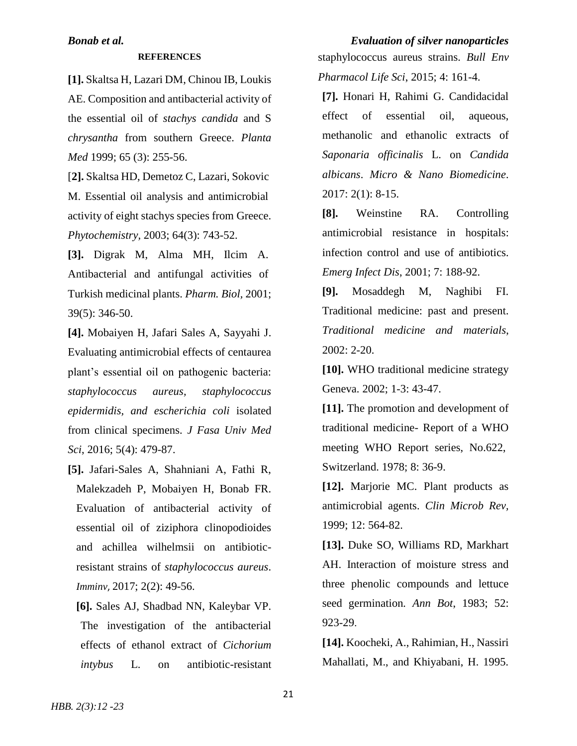### **REFERENCES**

**[1].** Skaltsa H, Lazari DM, Chinou IB, Loukis AE. Composition and antibacterial activity of the essential oil of *stachys candida* and S *chrysantha* from southern Greece. *Planta Med* 1999; 65 (3): 255-56.

[**2].** Skaltsa HD, Demetoz C, Lazari, Sokovic M. Essential oil analysis and antimicrobial activity of eight stachys species from Greece. *Phytochemistry,* 2003; 64(3): 743-52.

**[3].** Digrak M, Alma MH, Ilcim A. Antibacterial and antifungal activities of Turkish medicinal plants. *Pharm. Biol,* 2001; 39(5): 346-50.

**[4].** Mobaiyen H, Jafari Sales A, Sayyahi J. Evaluating antimicrobial effects of centaurea plant's essential oil on pathogenic bacteria: *staphylococcus aureus, staphylococcus epidermidis, and escherichia coli* isolated from clinical specimens. *J Fasa Univ Med Sci*, 2016; 5(4): 479-87.

**[5].** Jafari-Sales A, Shahniani A, Fathi R, Malekzadeh P, Mobaiyen H, Bonab FR. Evaluation of antibacterial activity of essential oil of ziziphora clinopodioides and achillea wilhelmsii on antibioticresistant strains of *staphylococcus aureus*. *Imminv*, 2017; 2(2): 49-56.

**[6].** Sales AJ, Shadbad NN, Kaleybar VP. The investigation of the antibacterial effects of ethanol extract of *Cichorium intybus* L. on antibiotic-resistant

*Bonab et al. Evaluation of silver nanoparticles*  staphylococcus aureus strains. *Bull Env Pharmacol Life Sci*, 2015; 4: 161-4.

> **[7].** Honari H, Rahimi G. Candidacidal effect of essential oil, aqueous, methanolic and ethanolic extracts of *Saponaria officinalis* L. on *Candida albicans*. *Micro & Nano Biomedicine*. 2017: 2(1): 8-15.

> **[8].** Weinstine RA. Controlling antimicrobial resistance in hospitals: infection control and use of antibiotics. *Emerg Infect Dis*, 2001; 7: 188-92.

> **[9].** Mosaddegh M, Naghibi FI. Traditional medicine: past and present. *Traditional medicine and materials*, 2002: 2-20.

> **[10].** WHO traditional medicine strategy Geneva. 2002; 1-3: 43-47.

> **[11].** The promotion and development of traditional medicine- Report of a WHO meeting WHO Report series, No.622, Switzerland. 1978; 8: 36-9.

> **[12].** Marjorie MC. Plant products as antimicrobial agents. *Clin Microb Rev,* 1999; 12: 564-82.

> **[13].** Duke SO, Williams RD, Markhart AH. Interaction of moisture stress and three phenolic compounds and lettuce seed germination*. Ann Bot*, 1983; 52: 923-29.

> **[14].** Koocheki, A., Rahimian, H., Nassiri Mahallati, M., and Khiyabani, H. 1995.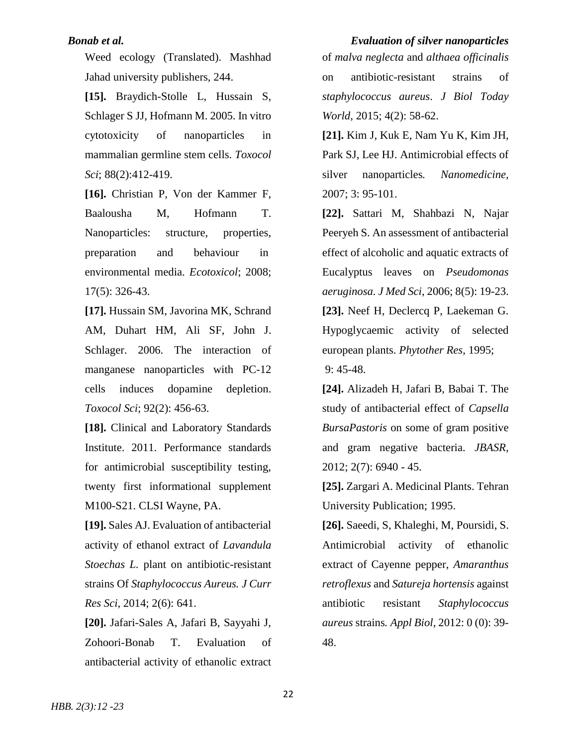Weed ecology (Translated). Mashhad Jahad university publishers, 244.

**[15].** Braydich-Stolle L, Hussain S, Schlager S JJ, Hofmann M. 2005. In vitro cytotoxicity of nanoparticles in mammalian germline stem cells. *Toxocol Sci*; 88(2):412-419.

**[16].** Christian P, Von der Kammer F, Baalousha M, Hofmann T. Nanoparticles: structure, properties, preparation and behaviour in environmental media. *Ecotoxicol*; 2008; 17(5): 326-43.

**[17].** Hussain SM, Javorina MK, Schrand AM, Duhart HM, Ali SF, John J. Schlager. 2006. The interaction of manganese nanoparticles with PC-12 cells induces dopamine depletion. *Toxocol Sci*; 92(2): 456-63.

**[18].** Clinical and Laboratory Standards Institute. 2011. Performance standards for antimicrobial susceptibility testing, twenty first informational supplement M100-S21. CLSI Wayne, PA.

**[19].** Sales AJ. Evaluation of antibacterial activity of ethanol extract of *Lavandula Stoechas L.* plant on antibiotic-resistant strains Of *Staphylococcus Aureus. J Curr Res Sci,* 2014; 2(6): 641.

**[20].** Jafari-Sales A, Jafari B, Sayyahi J, Zohoori-Bonab T. Evaluation of antibacterial activity of ethanolic extract

*Bonab et al. Evaluation of silver nanoparticles*  of *malva neglecta* and *althaea officinalis* on antibiotic-resistant strains of *staphylococcus aureus*. *J Biol Today World*, 2015; 4(2): 58-62.

> **[21].** Kim J, Kuk E, Nam Yu K, Kim JH, Park SJ, Lee HJ. Antimicrobial effects of silver nanoparticles*. Nanomedicine,* 2007; 3: 95-101.

> **[22].** Sattari M, Shahbazi N, Najar Peeryeh S. An assessment of antibacterial effect of alcoholic and aquatic extracts of Eucalyptus leaves on *Pseudomonas aeruginosa. J Med Sci*, 2006; 8(5): 19-23. **[23].** Neef H, Declercq P, Laekeman G. Hypoglycaemic activity of selected european plants. *Phytother Res,* 1995; 9: 45-48.

> **[24].** Alizadeh H, Jafari B, Babai T. The study of antibacterial effect of *Capsella BursaPastoris* on some of gram positive and gram negative bacteria. *JBASR,* 2012; 2(7): 6940 - 45.

> **[25].** Zargari A. Medicinal Plants. Tehran University Publication; 1995.

> **[26].** Saeedi, S, Khaleghi, M, Poursidi, S. Antimicrobial activity of ethanolic extract of Cayenne pepper, *Amaranthus retroflexus* and *Satureja hortensis* against antibiotic resistant *Staphylococcus aureus* strains*. Appl Biol*, 2012: 0 (0): 39- 48.